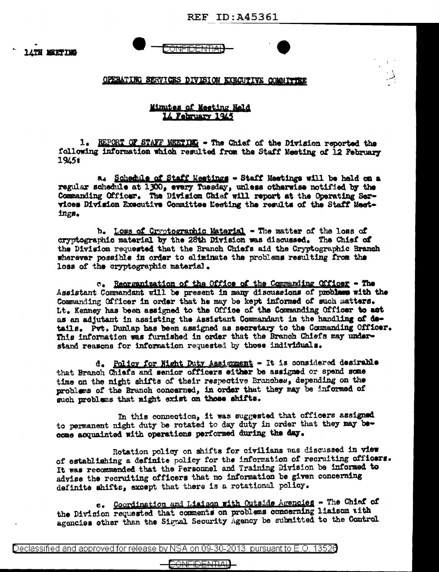**REF ID: A45361** 

**LATH MEETING** 

<del>JONFIDENTIA</del>

OPERATING SERVICES DIVISION EXECUTIVE COMMITTEE

## Minutes of Meeting Held 14 February 1945

1. REPORT OF STAFF MEETIMG - The Chief of the Division reported the following information which resulted from the Staff Meeting of 12 February 1945t

a. Schedule of Staff Meetings - Staff Meetings will be held on a regular schedule at 1300, every Tuesday, unless otherwise notified by the Commanding Officer. The Division Chief will report at the Operating Services Division Executive Committee Meeting the results of the Staff Meetings.

b. Loss of Cryptographic Material - The matter of the loss of cryptographic material by the 28th Division was discussed. The Chief of the Division requested that the Branch Chiefs aid the Cryptographic Branch wherever possible in order to eliminate the problems resulting from the loss of the cryptographic material.

c. Recrumnization of the Office of the Commanding Officer - The Assistant Commandant will be present in many discussions of problems with the Commanding Officer in order that he may be kept informed of such matters. Lt. Kenney has been assigned to the Office of the Commanding Officer to act as an adjutant in assisting the Assistant Commandant in the handling of details. Pyt. Dunlap has been assigned as secretary to the Commanding Officer. This information was furnished in order that the Branch Chiefs may understand reasons for information requested by those individuals.

d. Policy for Night Duty Assignment - It is considered desirable that Branch Chiefs and senior officers either be assigned or spend some time on the night shifts of their respective Branches, depending on the problems of the Branch concerned, in order that they may be informed of such problems that might exist on those shifts.

In this connection, it was suggested that officers assigned to permanent night duty be rotated to day duty in order that they may become acquainted with operations performed during the day.

Rotation policy on shifts for civilians was discussed in view of establishing a definite policy for the information of recruiting officers. It was recommended that the Personnel and Training Division be informed to advise the recruiting officers that no information be given concerning definite shifts, except that there is a rotational policy.

e. Coordination and Liaison with Outside Agencies - The Chief of the Division requested that comments on problems concerning liaison with agencies other than the Signal Security Agency be submitted to the Control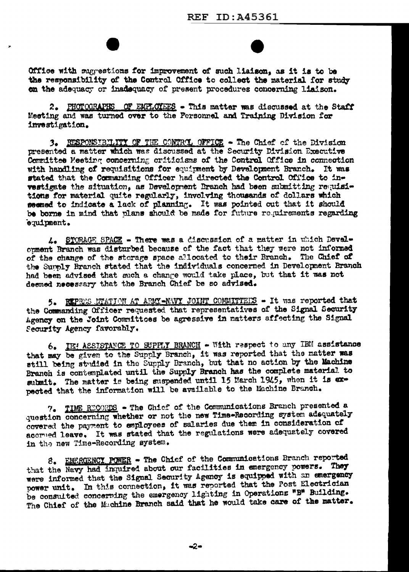Office with suggestions for improvement of such liaison, as it is to be the responsibility of the Control Office to collect the material for study on the adequacy or inadequacy of present procedures concerning liaison.

2. PHOTOGRAPHS OF EMPLOYEES - This matter was discussed at the Staff Meeting and was turned over to the Personnel and Training Division for investigation.

3. RESPONSIBILITY OF THE CONTROL OFFICE - The Chief of the Division presented a matter which was discussed at the Security Division Executive Committee Meeting concerning criticisms of the Control Office in connection with handling of requisitions for equipment by Development Branch. It was stated that the Commanding Officer had directed the Control Office to investigate the situation, as Development Branch had been submitting requisitions for material quite regularly, involving thousands of dollars which seemed to indicate a lack of planning. It was pointed out that it should be borne in mind that plans should be made for future requirements regarding equipment.

4. STORAGE SPACE - There was a discussion of a matter in which Develcoment Branch was disturbed because of the fact that they were not informed of the change of the storage space allocated to their Branch. The Chief of the Sunnly Branch stated that the individuals concerned in Development Branch had been advised that such a change would take place, but that it was not deemed necessary that the Branch Chief be so advised.

5. REPRES NTATION AT ARMY-NAVY JOINT COMMITTEES - It was reported that the Commanding Officer requested that representatives of the Signal Security Agency on the Joint Committees be agressive in matters affecting the Signal Security Agency favorably.

6. IEN ASSISTANCE TO SUPPLY BRANCH - With respect to any IBM assistance that may be given to the Supply Branch, it was reported that the matter was still being studied in the Supply Branch, but that no action by the Machine Branch is contemplated until the Supply Branch has the complete material to submit. The matter is being suspended until 15 March 1945, when it is expected that the information will be available to the Machine Branch.

7. TIME RECORDS - The Chief of the Communications Branch presented a question concerning whether or not the new Time-Recording system adequately covered the payment to employees of salaries due them in consideration of acorned leave. It was stated that the regulations were adequately covered in the new Time-Recording system.

8. EMPROENCY POWER - The Chief of the Communications Branch reported that the Navy had inquired about our facilities in emergency powers. They were informed that the Signal Security Agency is equipped with an emergency power unit. In this connection, it was reported that the Post Electrician be consulted concerning the emergency lighting in Operations "B" Building. The Chief of the Machine Branch said that he would take care of the matter.